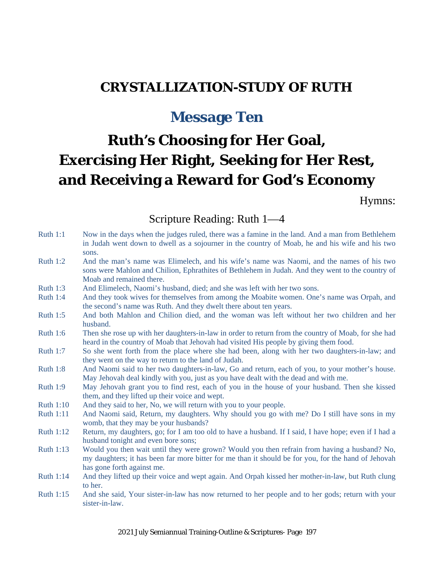## **CRYSTALLIZATION-STUDY OF RUTH**

# **Message Ten**

# **Ruth's Choosing for Her Goal, Exercising Her Right, Seeking for Her Rest, and Receiving a Reward for God's Economy**

Hymns:

Scripture Reading: Ruth 1—4

| <b>Ruth 1:1</b>  | Now in the days when the judges ruled, there was a famine in the land. And a man from Bethlehem<br>in Judah went down to dwell as a sojourner in the country of Moab, he and his wife and his two<br>sons.                        |
|------------------|-----------------------------------------------------------------------------------------------------------------------------------------------------------------------------------------------------------------------------------|
| Ruth $1:2$       | And the man's name was Elimelech, and his wife's name was Naomi, and the names of his two<br>sons were Mahlon and Chilion, Ephrathites of Bethlehem in Judah. And they went to the country of<br>Moab and remained there.         |
| Ruth $1:3$       | And Elimelech, Naomi's husband, died; and she was left with her two sons.                                                                                                                                                         |
| <b>Ruth 1:4</b>  | And they took wives for themselves from among the Moabite women. One's name was Orpah, and<br>the second's name was Ruth. And they dwelt there about ten years.                                                                   |
| <b>Ruth 1:5</b>  | And both Mahlon and Chilion died, and the woman was left without her two children and her<br>husband.                                                                                                                             |
| <b>Ruth 1:6</b>  | Then she rose up with her daughters-in-law in order to return from the country of Moab, for she had<br>heard in the country of Moab that Jehovah had visited His people by giving them food.                                      |
| <b>Ruth 1:7</b>  | So she went forth from the place where she had been, along with her two daughters-in-law; and<br>they went on the way to return to the land of Judah.                                                                             |
| <b>Ruth 1:8</b>  | And Naomi said to her two daughters-in-law, Go and return, each of you, to your mother's house.<br>May Jehovah deal kindly with you, just as you have dealt with the dead and with me.                                            |
| <b>Ruth 1:9</b>  | May Jehovah grant you to find rest, each of you in the house of your husband. Then she kissed<br>them, and they lifted up their voice and wept.                                                                                   |
| <b>Ruth 1:10</b> | And they said to her, No, we will return with you to your people.                                                                                                                                                                 |
| <b>Ruth 1:11</b> | And Naomi said, Return, my daughters. Why should you go with me? Do I still have sons in my<br>womb, that they may be your husbands?                                                                                              |
| <b>Ruth 1:12</b> | Return, my daughters, go; for I am too old to have a husband. If I said, I have hope; even if I had a<br>husband tonight and even bore sons;                                                                                      |
| Ruth 1:13        | Would you then wait until they were grown? Would you then refrain from having a husband? No,<br>my daughters; it has been far more bitter for me than it should be for you, for the hand of Jehovah<br>has gone forth against me. |
| <b>Ruth 1:14</b> | And they lifted up their voice and wept again. And Orpah kissed her mother-in-law, but Ruth clung<br>to her.                                                                                                                      |
| Ruth 1:15        | And she said, Your sister-in-law has now returned to her people and to her gods; return with your<br>sister-in-law.                                                                                                               |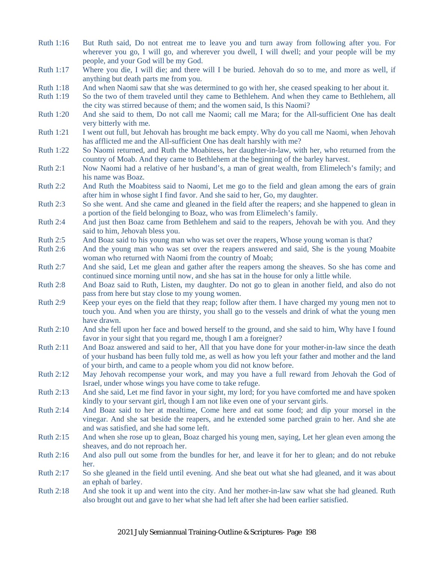- Ruth 1:16 But Ruth said, Do not entreat me to leave you and turn away from following after you. For wherever you go, I will go, and wherever you dwell, I will dwell; and your people will be my people, and your God will be my God.
- Ruth 1:17 Where you die, I will die; and there will I be buried. Jehovah do so to me, and more as well, if anything but death parts me from you.
- Ruth 1:18 And when Naomi saw that she was determined to go with her, she ceased speaking to her about it.
- Ruth 1:19 So the two of them traveled until they came to Bethlehem. And when they came to Bethlehem, all the city was stirred because of them; and the women said, Is this Naomi?
- Ruth 1:20 And she said to them, Do not call me Naomi; call me Mara; for the All-sufficient One has dealt very bitterly with me.
- Ruth 1:21 I went out full, but Jehovah has brought me back empty. Why do you call me Naomi, when Jehovah has afflicted me and the All-sufficient One has dealt harshly with me?
- Ruth 1:22 So Naomi returned, and Ruth the Moabitess, her daughter-in-law, with her, who returned from the country of Moab. And they came to Bethlehem at the beginning of the barley harvest.
- Ruth 2:1 Now Naomi had a relative of her husband's, a man of great wealth, from Elimelech's family; and his name was Boaz.
- Ruth 2:2 And Ruth the Moabitess said to Naomi, Let me go to the field and glean among the ears of grain after him in whose sight I find favor. And she said to her, Go, my daughter.
- Ruth 2:3 So she went. And she came and gleaned in the field after the reapers; and she happened to glean in a portion of the field belonging to Boaz, who was from Elimelech's family.
- Ruth 2:4 And just then Boaz came from Bethlehem and said to the reapers, Jehovah be with you. And they said to him, Jehovah bless you.
- Ruth 2:5 And Boaz said to his young man who was set over the reapers, Whose young woman is that?
- Ruth 2:6 And the young man who was set over the reapers answered and said, She is the young Moabite woman who returned with Naomi from the country of Moab;
- Ruth 2:7 And she said, Let me glean and gather after the reapers among the sheaves. So she has come and continued since morning until now, and she has sat in the house for only a little while.
- Ruth 2:8 And Boaz said to Ruth, Listen, my daughter. Do not go to glean in another field, and also do not pass from here but stay close to my young women.
- Ruth 2:9 Keep your eyes on the field that they reap; follow after them. I have charged my young men not to touch you. And when you are thirsty, you shall go to the vessels and drink of what the young men have drawn.
- Ruth 2:10 And she fell upon her face and bowed herself to the ground, and she said to him, Why have I found favor in your sight that you regard me, though I am a foreigner?
- Ruth 2:11 And Boaz answered and said to her, All that you have done for your mother-in-law since the death of your husband has been fully told me, as well as how you left your father and mother and the land of your birth, and came to a people whom you did not know before.
- Ruth 2:12 May Jehovah recompense your work, and may you have a full reward from Jehovah the God of Israel, under whose wings you have come to take refuge.
- Ruth 2:13 And she said, Let me find favor in your sight, my lord; for you have comforted me and have spoken kindly to your servant girl, though I am not like even one of your servant girls.
- Ruth 2:14 And Boaz said to her at mealtime, Come here and eat some food; and dip your morsel in the vinegar. And she sat beside the reapers, and he extended some parched grain to her. And she ate and was satisfied, and she had some left.
- Ruth 2:15 And when she rose up to glean, Boaz charged his young men, saying, Let her glean even among the sheaves, and do not reproach her.
- Ruth 2:16 And also pull out some from the bundles for her, and leave it for her to glean; and do not rebuke her.
- Ruth 2:17 So she gleaned in the field until evening. And she beat out what she had gleaned, and it was about an ephah of barley.
- Ruth 2:18 And she took it up and went into the city. And her mother-in-law saw what she had gleaned. Ruth also brought out and gave to her what she had left after she had been earlier satisfied.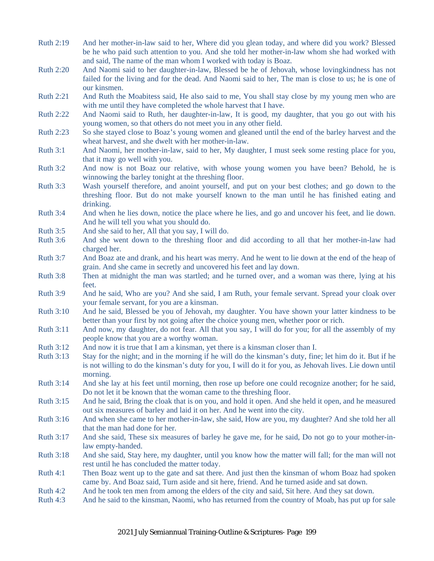- Ruth 2:19 And her mother-in-law said to her, Where did you glean today, and where did you work? Blessed be he who paid such attention to you. And she told her mother-in-law whom she had worked with and said, The name of the man whom I worked with today is Boaz.
- Ruth 2:20 And Naomi said to her daughter-in-law, Blessed be he of Jehovah, whose lovingkindness has not failed for the living and for the dead. And Naomi said to her, The man is close to us; he is one of our kinsmen.
- Ruth 2:21 And Ruth the Moabitess said, He also said to me, You shall stay close by my young men who are with me until they have completed the whole harvest that I have.
- Ruth 2:22 And Naomi said to Ruth, her daughter-in-law, It is good, my daughter, that you go out with his young women, so that others do not meet you in any other field.
- Ruth 2:23 So she stayed close to Boaz's young women and gleaned until the end of the barley harvest and the wheat harvest, and she dwelt with her mother-in-law.
- Ruth 3:1 And Naomi, her mother-in-law, said to her, My daughter, I must seek some resting place for you, that it may go well with you.
- Ruth 3:2 And now is not Boaz our relative, with whose young women you have been? Behold, he is winnowing the barley tonight at the threshing floor.
- Ruth 3:3 Wash yourself therefore, and anoint yourself, and put on your best clothes; and go down to the threshing floor. But do not make yourself known to the man until he has finished eating and drinking.
- Ruth 3:4 And when he lies down, notice the place where he lies, and go and uncover his feet, and lie down. And he will tell you what you should do.
- Ruth 3:5 And she said to her, All that you say, I will do.
- Ruth 3:6 And she went down to the threshing floor and did according to all that her mother-in-law had charged her.
- Ruth 3:7 And Boaz ate and drank, and his heart was merry. And he went to lie down at the end of the heap of grain. And she came in secretly and uncovered his feet and lay down.
- Ruth 3:8 Then at midnight the man was startled; and he turned over, and a woman was there, lying at his feet.
- Ruth 3:9 And he said, Who are you? And she said, I am Ruth, your female servant. Spread your cloak over your female servant, for you are a kinsman.
- Ruth 3:10 And he said, Blessed be you of Jehovah, my daughter. You have shown your latter kindness to be better than your first by not going after the choice young men, whether poor or rich.
- Ruth 3:11 And now, my daughter, do not fear. All that you say, I will do for you; for all the assembly of my people know that you are a worthy woman.
- Ruth 3:12 And now it is true that I am a kinsman, yet there is a kinsman closer than I.
- Ruth 3:13 Stay for the night; and in the morning if he will do the kinsman's duty, fine; let him do it. But if he is not willing to do the kinsman's duty for you, I will do it for you, as Jehovah lives. Lie down until morning.
- Ruth 3:14 And she lay at his feet until morning, then rose up before one could recognize another; for he said, Do not let it be known that the woman came to the threshing floor.
- Ruth 3:15 And he said, Bring the cloak that is on you, and hold it open. And she held it open, and he measured out six measures of barley and laid it on her. And he went into the city.
- Ruth 3:16 And when she came to her mother-in-law, she said, How are you, my daughter? And she told her all that the man had done for her.
- Ruth 3:17 And she said, These six measures of barley he gave me, for he said, Do not go to your mother-inlaw empty-handed.
- Ruth 3:18 And she said, Stay here, my daughter, until you know how the matter will fall; for the man will not rest until he has concluded the matter today.
- Ruth 4:1 Then Boaz went up to the gate and sat there. And just then the kinsman of whom Boaz had spoken came by. And Boaz said, Turn aside and sit here, friend. And he turned aside and sat down.
- Ruth 4:2 And he took ten men from among the elders of the city and said, Sit here. And they sat down.
- Ruth 4:3 And he said to the kinsman, Naomi, who has returned from the country of Moab, has put up for sale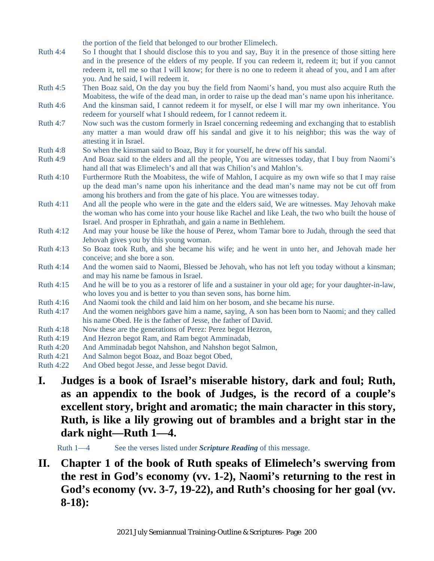the portion of the field that belonged to our brother Elimelech.

- Ruth 4:4 So I thought that I should disclose this to you and say, Buy it in the presence of those sitting here and in the presence of the elders of my people. If you can redeem it, redeem it; but if you cannot redeem it, tell me so that I will know; for there is no one to redeem it ahead of you, and I am after you. And he said, I will redeem it.
- Ruth 4:5 Then Boaz said, On the day you buy the field from Naomi's hand, you must also acquire Ruth the Moabitess, the wife of the dead man, in order to raise up the dead man's name upon his inheritance.
- Ruth 4:6 And the kinsman said, I cannot redeem it for myself, or else I will mar my own inheritance. You redeem for yourself what I should redeem, for I cannot redeem it.
- Ruth 4:7 Now such was the custom formerly in Israel concerning redeeming and exchanging that to establish any matter a man would draw off his sandal and give it to his neighbor; this was the way of attesting it in Israel.
- Ruth 4:8 So when the kinsman said to Boaz, Buy it for yourself, he drew off his sandal.
- Ruth 4:9 And Boaz said to the elders and all the people, You are witnesses today, that I buy from Naomi's hand all that was Elimelech's and all that was Chilion's and Mahlon's.
- Ruth 4:10 Furthermore Ruth the Moabitess, the wife of Mahlon, I acquire as my own wife so that I may raise up the dead man's name upon his inheritance and the dead man's name may not be cut off from among his brothers and from the gate of his place. You are witnesses today.
- Ruth 4:11 And all the people who were in the gate and the elders said, We are witnesses. May Jehovah make the woman who has come into your house like Rachel and like Leah, the two who built the house of Israel. And prosper in Ephrathah, and gain a name in Bethlehem.
- Ruth 4:12 And may your house be like the house of Perez, whom Tamar bore to Judah, through the seed that Jehovah gives you by this young woman.
- Ruth 4:13 So Boaz took Ruth, and she became his wife; and he went in unto her, and Jehovah made her conceive; and she bore a son.
- Ruth 4:14 And the women said to Naomi, Blessed be Jehovah, who has not left you today without a kinsman; and may his name be famous in Israel.
- Ruth 4:15 And he will be to you as a restorer of life and a sustainer in your old age; for your daughter-in-law, who loves you and is better to you than seven sons, has borne him.
- Ruth 4:16 And Naomi took the child and laid him on her bosom, and she became his nurse.
- Ruth 4:17 And the women neighbors gave him a name, saying, A son has been born to Naomi; and they called his name Obed. He is the father of Jesse, the father of David.
- Ruth 4:18 Now these are the generations of Perez: Perez begot Hezron,
- Ruth 4:19 And Hezron begot Ram, and Ram begot Amminadab,
- Ruth 4:20 And Amminadab begot Nahshon, and Nahshon begot Salmon,
- Ruth 4:21 And Salmon begot Boaz, and Boaz begot Obed,
- Ruth 4:22 And Obed begot Jesse, and Jesse begot David.
- **I. Judges is a book of Israel's miserable history, dark and foul; Ruth, as an appendix to the book of Judges, is the record of a couple's excellent story, bright and aromatic; the main character in this story, Ruth, is like a lily growing out of brambles and a bright star in the dark night—Ruth 1—4.**

Ruth 1—4 See the verses listed under *Scripture Reading* of this message.

**II. Chapter 1 of the book of Ruth speaks of Elimelech's swerving from the rest in God's economy (vv. 1-2), Naomi's returning to the rest in God's economy (vv. 3-7, 19-22), and Ruth's choosing for her goal (vv. 8-18):**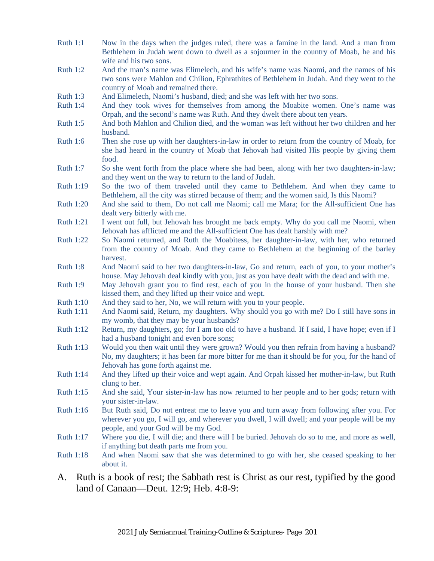- Ruth 1:1 Now in the days when the judges ruled, there was a famine in the land. And a man from Bethlehem in Judah went down to dwell as a sojourner in the country of Moab, he and his wife and his two sons.
- Ruth 1:2 And the man's name was Elimelech, and his wife's name was Naomi, and the names of his two sons were Mahlon and Chilion, Ephrathites of Bethlehem in Judah. And they went to the country of Moab and remained there.
- Ruth 1:3 And Elimelech, Naomi's husband, died; and she was left with her two sons.
- Ruth 1:4 And they took wives for themselves from among the Moabite women. One's name was Orpah, and the second's name was Ruth. And they dwelt there about ten years.
- Ruth 1:5 And both Mahlon and Chilion died, and the woman was left without her two children and her husband.
- Ruth 1:6 Then she rose up with her daughters-in-law in order to return from the country of Moab, for she had heard in the country of Moab that Jehovah had visited His people by giving them food.
- Ruth 1:7 So she went forth from the place where she had been, along with her two daughters-in-law; and they went on the way to return to the land of Judah.
- Ruth 1:19 So the two of them traveled until they came to Bethlehem. And when they came to Bethlehem, all the city was stirred because of them; and the women said, Is this Naomi?
- Ruth 1:20 And she said to them, Do not call me Naomi; call me Mara; for the All-sufficient One has dealt very bitterly with me.
- Ruth 1:21 I went out full, but Jehovah has brought me back empty. Why do you call me Naomi, when Jehovah has afflicted me and the All-sufficient One has dealt harshly with me?
- Ruth 1:22 So Naomi returned, and Ruth the Moabitess, her daughter-in-law, with her, who returned from the country of Moab. And they came to Bethlehem at the beginning of the barley harvest.
- Ruth 1:8 And Naomi said to her two daughters-in-law, Go and return, each of you, to your mother's house. May Jehovah deal kindly with you, just as you have dealt with the dead and with me.
- Ruth 1:9 May Jehovah grant you to find rest, each of you in the house of your husband. Then she kissed them, and they lifted up their voice and wept.
- Ruth 1:10 And they said to her, No, we will return with you to your people.
- Ruth 1:11 And Naomi said, Return, my daughters. Why should you go with me? Do I still have sons in my womb, that they may be your husbands?
- Ruth 1:12 Return, my daughters, go; for I am too old to have a husband. If I said, I have hope; even if I had a husband tonight and even bore sons;
- Ruth 1:13 Would you then wait until they were grown? Would you then refrain from having a husband? No, my daughters; it has been far more bitter for me than it should be for you, for the hand of Jehovah has gone forth against me.
- Ruth 1:14 And they lifted up their voice and wept again. And Orpah kissed her mother-in-law, but Ruth clung to her.
- Ruth 1:15 And she said, Your sister-in-law has now returned to her people and to her gods; return with your sister-in-law.
- Ruth 1:16 But Ruth said, Do not entreat me to leave you and turn away from following after you. For wherever you go, I will go, and wherever you dwell, I will dwell; and your people will be my people, and your God will be my God.
- Ruth 1:17 Where you die, I will die; and there will I be buried. Jehovah do so to me, and more as well, if anything but death parts me from you.
- Ruth 1:18 And when Naomi saw that she was determined to go with her, she ceased speaking to her about it.
- A. Ruth is a book of rest; the Sabbath rest is Christ as our rest, typified by the good land of Canaan—Deut. 12:9; Heb. 4:8-9: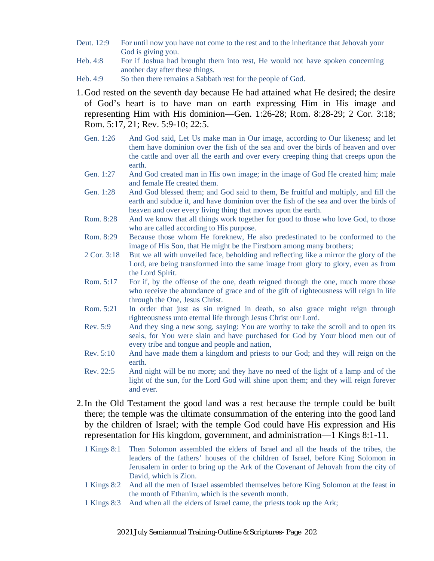- Deut. 12:9 For until now you have not come to the rest and to the inheritance that Jehovah your God is giving you.
- Heb. 4:8 For if Joshua had brought them into rest, He would not have spoken concerning another day after these things.
- Heb. 4:9 So then there remains a Sabbath rest for the people of God.
- 1.God rested on the seventh day because He had attained what He desired; the desire of God's heart is to have man on earth expressing Him in His image and representing Him with His dominion—Gen. 1:26-28; Rom. 8:28-29; 2 Cor. 3:18; Rom. 5:17, 21; Rev. 5:9-10; 22:5.
	- Gen. 1:26 And God said, Let Us make man in Our image, according to Our likeness; and let them have dominion over the fish of the sea and over the birds of heaven and over the cattle and over all the earth and over every creeping thing that creeps upon the earth.
	- Gen. 1:27 And God created man in His own image; in the image of God He created him; male and female He created them.
	- Gen. 1:28 And God blessed them; and God said to them, Be fruitful and multiply, and fill the earth and subdue it, and have dominion over the fish of the sea and over the birds of heaven and over every living thing that moves upon the earth.
	- Rom. 8:28 And we know that all things work together for good to those who love God, to those who are called according to His purpose.
	- Rom. 8:29 Because those whom He foreknew, He also predestinated to be conformed to the image of His Son, that He might be the Firstborn among many brothers;
	- 2 Cor. 3:18 But we all with unveiled face, beholding and reflecting like a mirror the glory of the Lord, are being transformed into the same image from glory to glory, even as from the Lord Spirit.
	- Rom. 5:17 For if, by the offense of the one, death reigned through the one, much more those who receive the abundance of grace and of the gift of righteousness will reign in life through the One, Jesus Christ.
	- Rom. 5:21 In order that just as sin reigned in death, so also grace might reign through righteousness unto eternal life through Jesus Christ our Lord.
	- Rev. 5:9 And they sing a new song, saying: You are worthy to take the scroll and to open its seals, for You were slain and have purchased for God by Your blood men out of every tribe and tongue and people and nation,
	- Rev. 5:10 And have made them a kingdom and priests to our God; and they will reign on the earth.
	- Rev. 22:5 And night will be no more; and they have no need of the light of a lamp and of the light of the sun, for the Lord God will shine upon them; and they will reign forever and ever.
- 2.In the Old Testament the good land was a rest because the temple could be built there; the temple was the ultimate consummation of the entering into the good land by the children of Israel; with the temple God could have His expression and His representation for His kingdom, government, and administration—1 Kings 8:1-11.
	- 1 Kings 8:1 Then Solomon assembled the elders of Israel and all the heads of the tribes, the leaders of the fathers' houses of the children of Israel, before King Solomon in Jerusalem in order to bring up the Ark of the Covenant of Jehovah from the city of David, which is Zion.
	- 1 Kings 8:2 And all the men of Israel assembled themselves before King Solomon at the feast in the month of Ethanim, which is the seventh month.
	- 1 Kings 8:3 And when all the elders of Israel came, the priests took up the Ark;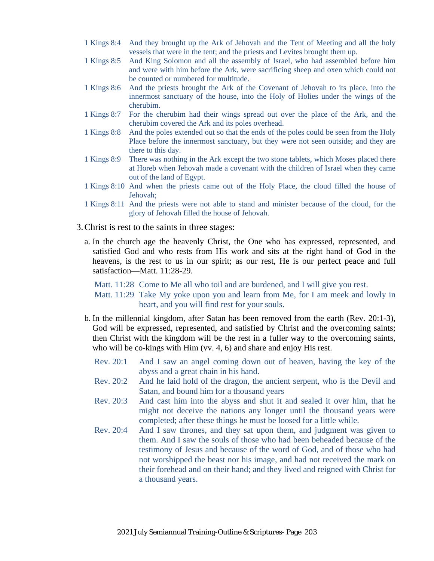- 1 Kings 8:4 And they brought up the Ark of Jehovah and the Tent of Meeting and all the holy vessels that were in the tent; and the priests and Levites brought them up.
- 1 Kings 8:5 And King Solomon and all the assembly of Israel, who had assembled before him and were with him before the Ark, were sacrificing sheep and oxen which could not be counted or numbered for multitude.
- 1 Kings 8:6 And the priests brought the Ark of the Covenant of Jehovah to its place, into the innermost sanctuary of the house, into the Holy of Holies under the wings of the cherubim.
- 1 Kings 8:7 For the cherubim had their wings spread out over the place of the Ark, and the cherubim covered the Ark and its poles overhead.
- 1 Kings 8:8 And the poles extended out so that the ends of the poles could be seen from the Holy Place before the innermost sanctuary, but they were not seen outside; and they are there to this day.
- 1 Kings 8:9 There was nothing in the Ark except the two stone tablets, which Moses placed there at Horeb when Jehovah made a covenant with the children of Israel when they came out of the land of Egypt.
- 1 Kings 8:10 And when the priests came out of the Holy Place, the cloud filled the house of Jehovah;
- 1 Kings 8:11 And the priests were not able to stand and minister because of the cloud, for the glory of Jehovah filled the house of Jehovah.
- 3.Christ is rest to the saints in three stages:
	- a. In the church age the heavenly Christ, the One who has expressed, represented, and satisfied God and who rests from His work and sits at the right hand of God in the heavens, is the rest to us in our spirit; as our rest, He is our perfect peace and full satisfaction—Matt. 11:28-29.

Matt. 11:28 Come to Me all who toil and are burdened, and I will give you rest.

Matt. 11:29 Take My yoke upon you and learn from Me, for I am meek and lowly in heart, and you will find rest for your souls.

- b. In the millennial kingdom, after Satan has been removed from the earth (Rev. 20:1-3), God will be expressed, represented, and satisfied by Christ and the overcoming saints; then Christ with the kingdom will be the rest in a fuller way to the overcoming saints, who will be co-kings with Him (vv. 4, 6) and share and enjoy His rest.
	- Rev. 20:1 And I saw an angel coming down out of heaven, having the key of the abyss and a great chain in his hand.
	- Rev. 20:2 And he laid hold of the dragon, the ancient serpent, who is the Devil and Satan, and bound him for a thousand years
	- Rev. 20:3 And cast him into the abyss and shut it and sealed it over him, that he might not deceive the nations any longer until the thousand years were completed; after these things he must be loosed for a little while.
	- Rev. 20:4 And I saw thrones, and they sat upon them, and judgment was given to them. And I saw the souls of those who had been beheaded because of the testimony of Jesus and because of the word of God, and of those who had not worshipped the beast nor his image, and had not received the mark on their forehead and on their hand; and they lived and reigned with Christ for a thousand years.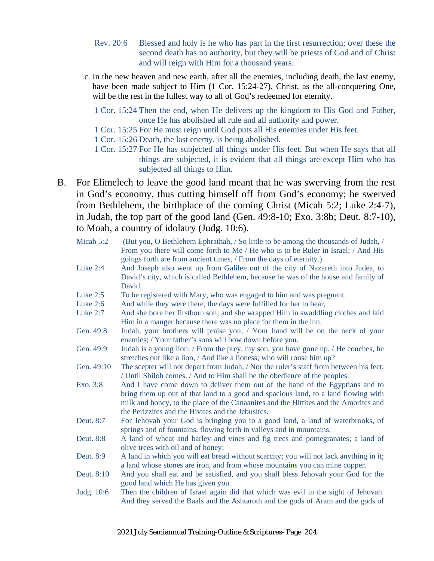- Rev. 20:6 Blessed and holy is he who has part in the first resurrection; over these the second death has no authority, but they will be priests of God and of Christ and will reign with Him for a thousand years.
- c. In the new heaven and new earth, after all the enemies, including death, the last enemy, have been made subject to Him (1 Cor. 15:24-27), Christ, as the all-conquering One, will be the rest in the fullest way to all of God's redeemed for eternity.
	- 1 Cor. 15:24 Then the end, when He delivers up the kingdom to His God and Father, once He has abolished all rule and all authority and power.
	- 1 Cor. 15:25 For He must reign until God puts all His enemies under His feet.
	- 1 Cor. 15:26 Death, the last enemy, is being abolished.
	- 1 Cor. 15:27 For He has subjected all things under His feet. But when He says that all things are subjected, it is evident that all things are except Him who has subjected all things to Him.
- B. For Elimelech to leave the good land meant that he was swerving from the rest in God's economy, thus cutting himself off from God's economy; he swerved from Bethlehem, the birthplace of the coming Christ (Micah 5:2; Luke 2:4-7), in Judah, the top part of the good land (Gen. 49:8-10; Exo. 3:8b; Deut. 8:7-10), to Moab, a country of idolatry (Judg. 10:6).

| Micah 5:2  | (But you, O Bethlehem Ephrathah, / So little to be among the thousands of Judah, /<br>From you there will come forth to Me / He who is to be Ruler in Israel; / And His<br>goings forth are from ancient times, / From the days of eternity.)                                                                   |
|------------|-----------------------------------------------------------------------------------------------------------------------------------------------------------------------------------------------------------------------------------------------------------------------------------------------------------------|
| Luke 2:4   | And Joseph also went up from Galilee out of the city of Nazareth into Judea, to<br>David's city, which is called Bethlehem, because he was of the house and family of<br>David,                                                                                                                                 |
| Luke $2:5$ | To be registered with Mary, who was engaged to him and was pregnant.                                                                                                                                                                                                                                            |
| Luke $2:6$ | And while they were there, the days were fulfilled for her to bear,                                                                                                                                                                                                                                             |
| Luke $2:7$ | And she bore her firstborn son; and she wrapped Him in swaddling clothes and laid<br>Him in a manger because there was no place for them in the inn.                                                                                                                                                            |
| Gen. 49:8  | Judah, your brothers will praise you; / Your hand will be on the neck of your<br>enemies; / Your father's sons will bow down before you.                                                                                                                                                                        |
| Gen. 49:9  | Judah is a young lion; / From the prey, my son, you have gone up. / He couches, he<br>stretches out like a lion, / And like a lioness; who will rouse him up?                                                                                                                                                   |
| Gen. 49:10 | The scepter will not depart from Judah, / Nor the ruler's staff from between his feet,<br>/ Until Shiloh comes, / And to Him shall be the obedience of the peoples.                                                                                                                                             |
| Exo. 3:8   | And I have come down to deliver them out of the hand of the Egyptians and to<br>bring them up out of that land to a good and spacious land, to a land flowing with<br>milk and honey, to the place of the Canaanites and the Hittites and the Amorites and<br>the Perizzites and the Hivites and the Jebusites. |
| Deut. 8:7  | For Jehovah your God is bringing you to a good land, a land of waterbrooks, of<br>springs and of fountains, flowing forth in valleys and in mountains;                                                                                                                                                          |
| Deut. 8:8  | A land of wheat and barley and vines and fig trees and pomegranates; a land of<br>olive trees with oil and of honey;                                                                                                                                                                                            |
| Deut. 8:9  | A land in which you will eat bread without scarcity; you will not lack anything in it;<br>a land whose stones are iron, and from whose mountains you can mine copper.                                                                                                                                           |
| Deut. 8:10 | And you shall eat and be satisfied, and you shall bless Jehovah your God for the<br>good land which He has given you.                                                                                                                                                                                           |
| Judg. 10:6 | Then the children of Israel again did that which was evil in the sight of Jehovah.<br>And they served the Baals and the Ashtaroth and the gods of Aram and the gods of                                                                                                                                          |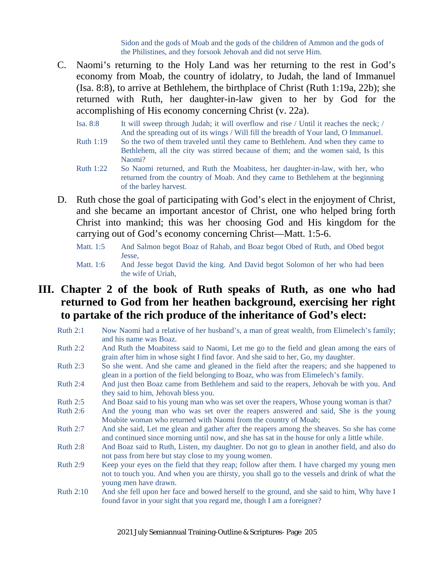Sidon and the gods of Moab and the gods of the children of Ammon and the gods of the Philistines, and they forsook Jehovah and did not serve Him.

- C. Naomi's returning to the Holy Land was her returning to the rest in God's economy from Moab, the country of idolatry, to Judah, the land of Immanuel (Isa. 8:8), to arrive at Bethlehem, the birthplace of Christ (Ruth 1:19a, 22b); she returned with Ruth, her daughter-in-law given to her by God for the accomplishing of His economy concerning Christ (v. 22a).
	- Isa. 8:8 It will sweep through Judah; it will overflow and rise / Until it reaches the neck; / And the spreading out of its wings / Will fill the breadth of Your land, O Immanuel.
	- Ruth 1:19 So the two of them traveled until they came to Bethlehem. And when they came to Bethlehem, all the city was stirred because of them; and the women said, Is this Naomi?
	- Ruth 1:22 So Naomi returned, and Ruth the Moabitess, her daughter-in-law, with her, who returned from the country of Moab. And they came to Bethlehem at the beginning of the barley harvest.
- D. Ruth chose the goal of participating with God's elect in the enjoyment of Christ, and she became an important ancestor of Christ, one who helped bring forth Christ into mankind; this was her choosing God and His kingdom for the carrying out of God's economy concerning Christ—Matt. 1:5-6.
	- Matt. 1:5 And Salmon begot Boaz of Rahab, and Boaz begot Obed of Ruth, and Obed begot Jesse,
	- Matt. 1:6 And Jesse begot David the king. And David begot Solomon of her who had been the wife of Uriah,

#### **III. Chapter 2 of the book of Ruth speaks of Ruth, as one who had returned to God from her heathen background, exercising her right to partake of the rich produce of the inheritance of God's elect:**

- Ruth 2:1 Now Naomi had a relative of her husband's, a man of great wealth, from Elimelech's family; and his name was Boaz.
- Ruth 2:2 And Ruth the Moabitess said to Naomi, Let me go to the field and glean among the ears of grain after him in whose sight I find favor. And she said to her, Go, my daughter.
- Ruth 2:3 So she went. And she came and gleaned in the field after the reapers; and she happened to glean in a portion of the field belonging to Boaz, who was from Elimelech's family.
- Ruth 2:4 And just then Boaz came from Bethlehem and said to the reapers, Jehovah be with you. And they said to him, Jehovah bless you.
- Ruth 2:5 And Boaz said to his young man who was set over the reapers, Whose young woman is that?
- Ruth 2:6 And the young man who was set over the reapers answered and said, She is the young Moabite woman who returned with Naomi from the country of Moab;
- Ruth 2:7 And she said, Let me glean and gather after the reapers among the sheaves. So she has come and continued since morning until now, and she has sat in the house for only a little while.
- Ruth 2:8 And Boaz said to Ruth, Listen, my daughter. Do not go to glean in another field, and also do not pass from here but stay close to my young women.
- Ruth 2:9 Keep your eyes on the field that they reap; follow after them. I have charged my young men not to touch you. And when you are thirsty, you shall go to the vessels and drink of what the young men have drawn.
- Ruth 2:10 And she fell upon her face and bowed herself to the ground, and she said to him, Why have I found favor in your sight that you regard me, though I am a foreigner?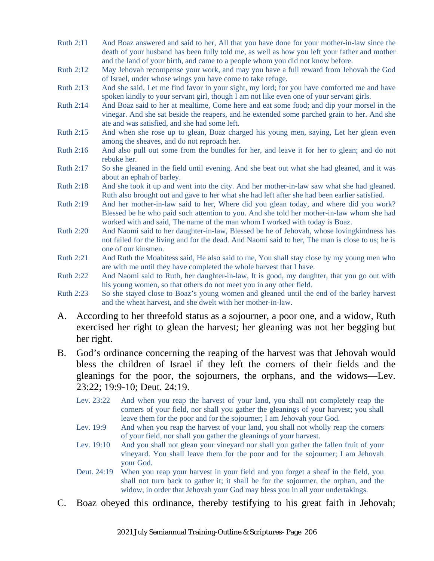- Ruth 2:11 And Boaz answered and said to her, All that you have done for your mother-in-law since the death of your husband has been fully told me, as well as how you left your father and mother and the land of your birth, and came to a people whom you did not know before.
- Ruth 2:12 May Jehovah recompense your work, and may you have a full reward from Jehovah the God of Israel, under whose wings you have come to take refuge.
- Ruth 2:13 And she said, Let me find favor in your sight, my lord; for you have comforted me and have spoken kindly to your servant girl, though I am not like even one of your servant girls.
- Ruth 2:14 And Boaz said to her at mealtime, Come here and eat some food; and dip your morsel in the vinegar. And she sat beside the reapers, and he extended some parched grain to her. And she ate and was satisfied, and she had some left.
- Ruth 2:15 And when she rose up to glean, Boaz charged his young men, saying, Let her glean even among the sheaves, and do not reproach her.
- Ruth 2:16 And also pull out some from the bundles for her, and leave it for her to glean; and do not rebuke her.
- Ruth 2:17 So she gleaned in the field until evening. And she beat out what she had gleaned, and it was about an ephah of barley.
- Ruth 2:18 And she took it up and went into the city. And her mother-in-law saw what she had gleaned. Ruth also brought out and gave to her what she had left after she had been earlier satisfied.
- Ruth 2:19 And her mother-in-law said to her, Where did you glean today, and where did you work? Blessed be he who paid such attention to you. And she told her mother-in-law whom she had worked with and said, The name of the man whom I worked with today is Boaz.
- Ruth 2:20 And Naomi said to her daughter-in-law, Blessed be he of Jehovah, whose lovingkindness has not failed for the living and for the dead. And Naomi said to her, The man is close to us; he is one of our kinsmen.
- Ruth 2:21 And Ruth the Moabitess said, He also said to me, You shall stay close by my young men who are with me until they have completed the whole harvest that I have.
- Ruth 2:22 And Naomi said to Ruth, her daughter-in-law, It is good, my daughter, that you go out with his young women, so that others do not meet you in any other field.
- Ruth 2:23 So she stayed close to Boaz's young women and gleaned until the end of the barley harvest and the wheat harvest, and she dwelt with her mother-in-law.
- A. According to her threefold status as a sojourner, a poor one, and a widow, Ruth exercised her right to glean the harvest; her gleaning was not her begging but her right.
- B. God's ordinance concerning the reaping of the harvest was that Jehovah would bless the children of Israel if they left the corners of their fields and the gleanings for the poor, the sojourners, the orphans, and the widows—Lev. 23:22; 19:9-10; Deut. 24:19.
	- Lev. 23:22 And when you reap the harvest of your land, you shall not completely reap the corners of your field, nor shall you gather the gleanings of your harvest; you shall leave them for the poor and for the sojourner; I am Jehovah your God.
	- Lev. 19:9 And when you reap the harvest of your land, you shall not wholly reap the corners of your field, nor shall you gather the gleanings of your harvest.
	- Lev. 19:10 And you shall not glean your vineyard nor shall you gather the fallen fruit of your vineyard. You shall leave them for the poor and for the sojourner; I am Jehovah your God.
	- Deut. 24:19 When you reap your harvest in your field and you forget a sheaf in the field, you shall not turn back to gather it; it shall be for the sojourner, the orphan, and the widow, in order that Jehovah your God may bless you in all your undertakings.
- C. Boaz obeyed this ordinance, thereby testifying to his great faith in Jehovah;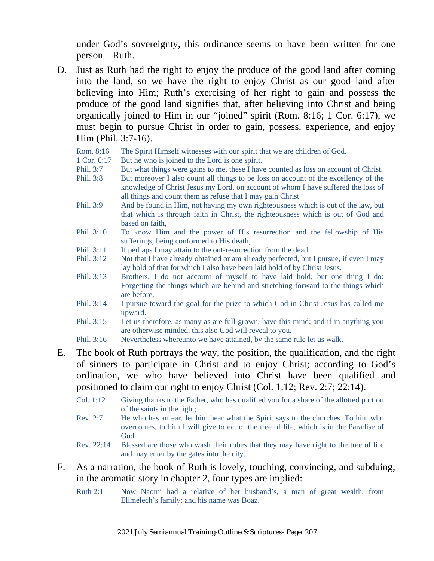under God's sovereignty, this ordinance seems to have been written for one person—Ruth.

D. Just as Ruth had the right to enjoy the produce of the good land after coming into the land, so we have the right to enjoy Christ as our good land after believing into Him; Ruth's exercising of her right to gain and possess the produce of the good land signifies that, after believing into Christ and being organically joined to Him in our "joined" spirit (Rom. 8:16; 1 Cor. 6:17), we must begin to pursue Christ in order to gain, possess, experience, and enjoy Him (Phil. 3:7-16).

Rom. 8:16 The Spirit Himself witnesses with our spirit that we are children of God.

- 1 Cor. 6:17 But he who is joined to the Lord is one spirit.
- Phil. 3:7 But what things were gains to me, these I have counted as loss on account of Christ.
- Phil. 3:8 But moreover I also count all things to be loss on account of the excellency of the knowledge of Christ Jesus my Lord, on account of whom I have suffered the loss of all things and count them as refuse that I may gain Christ
- Phil. 3:9 And be found in Him, not having my own righteousness which is out of the law, but that which is through faith in Christ, the righteousness which is out of God and based on faith,
- Phil. 3:10 To know Him and the power of His resurrection and the fellowship of His sufferings, being conformed to His death,
- Phil. 3:11 If perhaps I may attain to the out-resurrection from the dead.
- Phil. 3:12 Not that I have already obtained or am already perfected, but I pursue, if even I may lay hold of that for which I also have been laid hold of by Christ Jesus.
- Phil. 3:13 Brothers, I do not account of myself to have laid hold; but one thing I do: Forgetting the things which are behind and stretching forward to the things which are before,
- Phil. 3:14 I pursue toward the goal for the prize to which God in Christ Jesus has called me upward.
- Phil. 3:15 Let us therefore, as many as are full-grown, have this mind; and if in anything you are otherwise minded, this also God will reveal to you.
- Phil. 3:16 Nevertheless whereunto we have attained, by the same rule let us walk.
- E. The book of Ruth portrays the way, the position, the qualification, and the right of sinners to participate in Christ and to enjoy Christ; according to God's ordination, we who have believed into Christ have been qualified and positioned to claim our right to enjoy Christ (Col. 1:12; Rev. 2:7; 22:14).
	- Col. 1:12 Giving thanks to the Father, who has qualified you for a share of the allotted portion of the saints in the light;
	- Rev. 2:7 He who has an ear, let him hear what the Spirit says to the churches. To him who overcomes, to him I will give to eat of the tree of life, which is in the Paradise of God.
	- Rev. 22:14 Blessed are those who wash their robes that they may have right to the tree of life and may enter by the gates into the city.
- F. As a narration, the book of Ruth is lovely, touching, convincing, and subduing; in the aromatic story in chapter 2, four types are implied:
	- Ruth 2:1 Now Naomi had a relative of her husband's, a man of great wealth, from Elimelech's family; and his name was Boaz.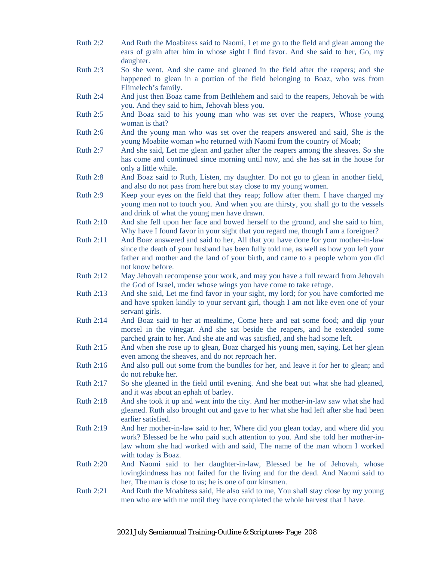- Ruth 2:2 And Ruth the Moabitess said to Naomi, Let me go to the field and glean among the ears of grain after him in whose sight I find favor. And she said to her, Go, my daughter.
- Ruth 2:3 So she went. And she came and gleaned in the field after the reapers; and she happened to glean in a portion of the field belonging to Boaz, who was from Elimelech's family.
- Ruth 2:4 And just then Boaz came from Bethlehem and said to the reapers, Jehovah be with you. And they said to him, Jehovah bless you.
- Ruth 2:5 And Boaz said to his young man who was set over the reapers, Whose young woman is that?
- Ruth 2:6 And the young man who was set over the reapers answered and said, She is the young Moabite woman who returned with Naomi from the country of Moab;
- Ruth 2:7 And she said, Let me glean and gather after the reapers among the sheaves. So she has come and continued since morning until now, and she has sat in the house for only a little while.
- Ruth 2:8 And Boaz said to Ruth, Listen, my daughter. Do not go to glean in another field, and also do not pass from here but stay close to my young women.
- Ruth 2:9 Keep your eyes on the field that they reap; follow after them. I have charged my young men not to touch you. And when you are thirsty, you shall go to the vessels and drink of what the young men have drawn.
- Ruth 2:10 And she fell upon her face and bowed herself to the ground, and she said to him, Why have I found favor in your sight that you regard me, though I am a foreigner?
- Ruth 2:11 And Boaz answered and said to her, All that you have done for your mother-in-law since the death of your husband has been fully told me, as well as how you left your father and mother and the land of your birth, and came to a people whom you did not know before.
- Ruth 2:12 May Jehovah recompense your work, and may you have a full reward from Jehovah the God of Israel, under whose wings you have come to take refuge.
- Ruth 2:13 And she said, Let me find favor in your sight, my lord; for you have comforted me and have spoken kindly to your servant girl, though I am not like even one of your servant girls.
- Ruth 2:14 And Boaz said to her at mealtime, Come here and eat some food; and dip your morsel in the vinegar. And she sat beside the reapers, and he extended some parched grain to her. And she ate and was satisfied, and she had some left.
- Ruth 2:15 And when she rose up to glean, Boaz charged his young men, saying, Let her glean even among the sheaves, and do not reproach her.
- Ruth 2:16 And also pull out some from the bundles for her, and leave it for her to glean; and do not rebuke her.
- Ruth 2:17 So she gleaned in the field until evening. And she beat out what she had gleaned, and it was about an ephah of barley.
- Ruth 2:18 And she took it up and went into the city. And her mother-in-law saw what she had gleaned. Ruth also brought out and gave to her what she had left after she had been earlier satisfied.
- Ruth 2:19 And her mother-in-law said to her, Where did you glean today, and where did you work? Blessed be he who paid such attention to you. And she told her mother-inlaw whom she had worked with and said, The name of the man whom I worked with today is Boaz.
- Ruth 2:20 And Naomi said to her daughter-in-law, Blessed be he of Jehovah, whose lovingkindness has not failed for the living and for the dead. And Naomi said to her, The man is close to us; he is one of our kinsmen.
- Ruth 2:21 And Ruth the Moabitess said, He also said to me, You shall stay close by my young men who are with me until they have completed the whole harvest that I have.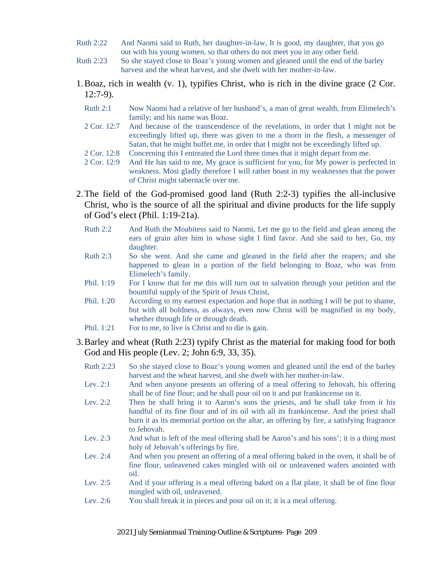- Ruth 2:22 And Naomi said to Ruth, her daughter-in-law, It is good, my daughter, that you go out with his young women, so that others do not meet you in any other field.
- Ruth 2:23 So she stayed close to Boaz's young women and gleaned until the end of the barley harvest and the wheat harvest, and she dwelt with her mother-in-law.
- 1.Boaz, rich in wealth (v. 1), typifies Christ, who is rich in the divine grace (2 Cor. 12:7-9).
	- Ruth 2:1 Now Naomi had a relative of her husband's, a man of great wealth, from Elimelech's family; and his name was Boaz.
	- 2 Cor. 12:7 And because of the transcendence of the revelations, in order that I might not be exceedingly lifted up, there was given to me a thorn in the flesh, a messenger of Satan, that he might buffet me, in order that I might not be exceedingly lifted up.
	- 2 Cor. 12:8 Concerning this I entreated the Lord three times that it might depart from me.
	- 2 Cor. 12:9 And He has said to me, My grace is sufficient for you, for My power is perfected in weakness. Most gladly therefore I will rather boast in my weaknesses that the power of Christ might tabernacle over me.
- 2.The field of the God-promised good land (Ruth 2:2-3) typifies the all-inclusive Christ, who is the source of all the spiritual and divine products for the life supply of God's elect (Phil. 1:19-21a).
	- Ruth 2:2 And Ruth the Moabitess said to Naomi, Let me go to the field and glean among the ears of grain after him in whose sight I find favor. And she said to her, Go, my daughter.
	- Ruth 2:3 So she went. And she came and gleaned in the field after the reapers; and she happened to glean in a portion of the field belonging to Boaz, who was from Elimelech's family.
	- Phil. 1:19 For I know that for me this will turn out to salvation through your petition and the bountiful supply of the Spirit of Jesus Christ,
	- Phil. 1:20 According to my earnest expectation and hope that in nothing I will be put to shame, but with all boldness, as always, even now Christ will be magnified in my body, whether through life or through death.
	- Phil. 1:21 For to me, to live is Christ and to die is gain.

#### 3.Barley and wheat (Ruth 2:23) typify Christ as the material for making food for both God and His people (Lev. 2; John 6:9, 33, 35).

- Ruth 2:23 So she stayed close to Boaz's young women and gleaned until the end of the barley harvest and the wheat harvest, and she dwelt with her mother-in-law.
- Lev. 2:1 And when anyone presents an offering of a meal offering to Jehovah, his offering shall be of fine flour; and he shall pour oil on it and put frankincense on it.
- Lev. 2:2 Then he shall bring it to Aaron's sons the priests, and he shall take from it his handful of its fine flour and of its oil with all its frankincense. And the priest shall burn it as its memorial portion on the altar, an offering by fire, a satisfying fragrance to Jehovah.
- Lev. 2:3 And what is left of the meal offering shall be Aaron's and his sons'; it is a thing most holy of Jehovah's offerings by fire.
- Lev. 2:4 And when you present an offering of a meal offering baked in the oven, it shall be of fine flour, unleavened cakes mingled with oil or unleavened wafers anointed with oil.
- Lev. 2:5 And if your offering is a meal offering baked on a flat plate, it shall be of fine flour mingled with oil, unleavened.
- Lev. 2:6 You shall break it in pieces and pour oil on it; it is a meal offering.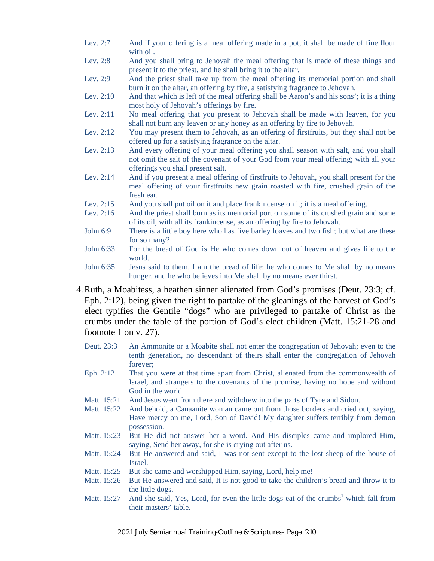- Lev. 2:7 And if your offering is a meal offering made in a pot, it shall be made of fine flour with oil.
- Lev. 2:8 And you shall bring to Jehovah the meal offering that is made of these things and present it to the priest, and he shall bring it to the altar.
- Lev. 2:9 And the priest shall take up from the meal offering its memorial portion and shall burn it on the altar, an offering by fire, a satisfying fragrance to Jehovah.
- Lev. 2:10 And that which is left of the meal offering shall be Aaron's and his sons'; it is a thing most holy of Jehovah's offerings by fire.
- Lev. 2:11 No meal offering that you present to Jehovah shall be made with leaven, for you shall not burn any leaven or any honey as an offering by fire to Jehovah.
- Lev. 2:12 You may present them to Jehovah, as an offering of first fruits, but they shall not be offered up for a satisfying fragrance on the altar.
- Lev. 2:13 And every offering of your meal offering you shall season with salt, and you shall not omit the salt of the covenant of your God from your meal offering; with all your offerings you shall present salt.
- Lev. 2:14 And if you present a meal offering of firstfruits to Jehovah, you shall present for the meal offering of your firstfruits new grain roasted with fire, crushed grain of the fresh ear.
- Lev. 2:15 And you shall put oil on it and place frankincense on it; it is a meal offering.
- Lev. 2:16 And the priest shall burn as its memorial portion some of its crushed grain and some of its oil, with all its frankincense, as an offering by fire to Jehovah.
- John 6:9 There is a little boy here who has five barley loaves and two fish; but what are these for so many?
- John 6:33 For the bread of God is He who comes down out of heaven and gives life to the world.
- John 6:35 Jesus said to them, I am the bread of life; he who comes to Me shall by no means hunger, and he who believes into Me shall by no means ever thirst.
- 4.Ruth, a Moabitess, a heathen sinner alienated from God's promises (Deut. 23:3; cf. Eph. 2:12), being given the right to partake of the gleanings of the harvest of God's elect typifies the Gentile "dogs" who are privileged to partake of Christ as the crumbs under the table of the portion of God's elect children (Matt. 15:21-28 and footnote 1 on v. 27).
	- Deut. 23:3 An Ammonite or a Moabite shall not enter the congregation of Jehovah; even to the tenth generation, no descendant of theirs shall enter the congregation of Jehovah forever;
	- Eph. 2:12 That you were at that time apart from Christ, alienated from the commonwealth of Israel, and strangers to the covenants of the promise, having no hope and without God in the world.
	- Matt. 15:21 And Jesus went from there and withdrew into the parts of Tyre and Sidon.
	- Matt. 15:22 And behold, a Canaanite woman came out from those borders and cried out, saying, Have mercy on me, Lord, Son of David! My daughter suffers terribly from demon possession.
	- Matt. 15:23 But He did not answer her a word. And His disciples came and implored Him, saying, Send her away, for she is crying out after us.
	- Matt. 15:24 But He answered and said, I was not sent except to the lost sheep of the house of Israel.
	- Matt. 15:25 But she came and worshipped Him, saying, Lord, help me!
	- Matt. 15:26 But He answered and said, It is not good to take the children's bread and throw it to the little dogs.
	- Matt.  $15:27$  And she said, Yes, Lord, for even the little dogs eat of the crumbs<sup>1</sup> which fall from their masters' table.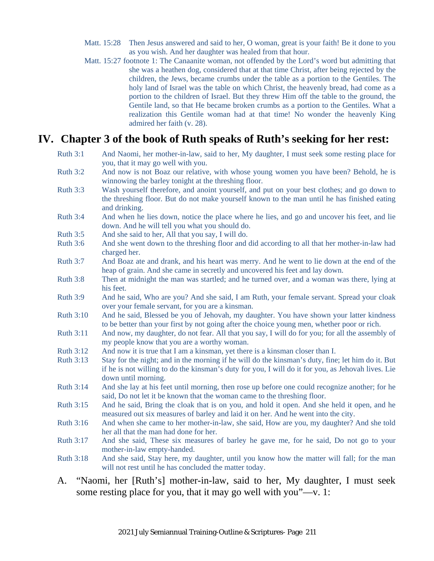- Matt. 15:28 Then Jesus answered and said to her, O woman, great is your faith! Be it done to you as you wish. And her daughter was healed from that hour.
- Matt. 15:27 footnote 1: The Canaanite woman, not offended by the Lord's word but admitting that she was a heathen dog, considered that at that time Christ, after being rejected by the children, the Jews, became crumbs under the table as a portion to the Gentiles. The holy land of Israel was the table on which Christ, the heavenly bread, had come as a portion to the children of Israel. But they threw Him off the table to the ground, the Gentile land, so that He became broken crumbs as a portion to the Gentiles. What a realization this Gentile woman had at that time! No wonder the heavenly King admired her faith (v. 28).

#### **IV. Chapter 3 of the book of Ruth speaks of Ruth's seeking for her rest:**

- Ruth 3:1 And Naomi, her mother-in-law, said to her, My daughter, I must seek some resting place for you, that it may go well with you.
- Ruth 3:2 And now is not Boaz our relative, with whose young women you have been? Behold, he is winnowing the barley tonight at the threshing floor.
- Ruth 3:3 Wash yourself therefore, and anoint yourself, and put on your best clothes; and go down to the threshing floor. But do not make yourself known to the man until he has finished eating and drinking.
- Ruth 3:4 And when he lies down, notice the place where he lies, and go and uncover his feet, and lie down. And he will tell you what you should do.
- Ruth 3:5 And she said to her, All that you say, I will do.
- Ruth 3:6 And she went down to the threshing floor and did according to all that her mother-in-law had charged her.
- Ruth 3:7 And Boaz ate and drank, and his heart was merry. And he went to lie down at the end of the heap of grain. And she came in secretly and uncovered his feet and lay down.
- Ruth 3:8 Then at midnight the man was startled; and he turned over, and a woman was there, lying at his feet.
- Ruth 3:9 And he said, Who are you? And she said, I am Ruth, your female servant. Spread your cloak over your female servant, for you are a kinsman.
- Ruth 3:10 And he said, Blessed be you of Jehovah, my daughter. You have shown your latter kindness to be better than your first by not going after the choice young men, whether poor or rich.
- Ruth 3:11 And now, my daughter, do not fear. All that you say, I will do for you; for all the assembly of my people know that you are a worthy woman.
- Ruth 3:12 And now it is true that I am a kinsman, yet there is a kinsman closer than I.
- Ruth 3:13 Stay for the night; and in the morning if he will do the kinsman's duty, fine; let him do it. But if he is not willing to do the kinsman's duty for you, I will do it for you, as Jehovah lives. Lie down until morning.
- Ruth 3:14 And she lay at his feet until morning, then rose up before one could recognize another; for he said, Do not let it be known that the woman came to the threshing floor.
- Ruth 3:15 And he said, Bring the cloak that is on you, and hold it open. And she held it open, and he measured out six measures of barley and laid it on her. And he went into the city.
- Ruth 3:16 And when she came to her mother-in-law, she said, How are you, my daughter? And she told her all that the man had done for her.
- Ruth 3:17 And she said, These six measures of barley he gave me, for he said, Do not go to your mother-in-law empty-handed.
- Ruth 3:18 And she said, Stay here, my daughter, until you know how the matter will fall; for the man will not rest until he has concluded the matter today.
- A. "Naomi, her [Ruth's] mother-in-law, said to her, My daughter, I must seek some resting place for you, that it may go well with you"—v. 1: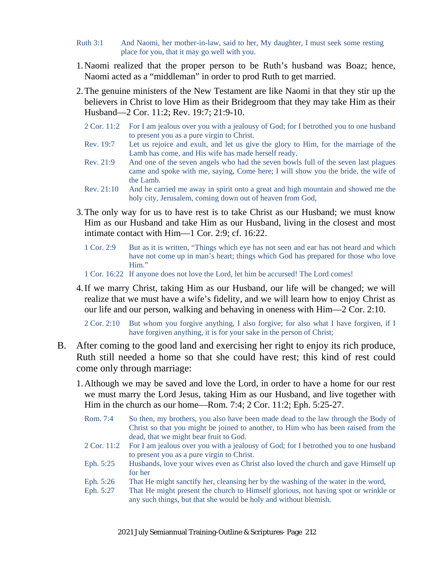- Ruth 3:1 And Naomi, her mother-in-law, said to her, My daughter, I must seek some resting place for you, that it may go well with you.
- 1.Naomi realized that the proper person to be Ruth's husband was Boaz; hence, Naomi acted as a "middleman" in order to prod Ruth to get married.
- 2.The genuine ministers of the New Testament are like Naomi in that they stir up the believers in Christ to love Him as their Bridegroom that they may take Him as their Husband—2 Cor. 11:2; Rev. 19:7; 21:9-10.
	- 2 Cor. 11:2 For I am jealous over you with a jealousy of God; for I betrothed you to one husband to present you as a pure virgin to Christ.
	- Rev. 19:7 Let us rejoice and exult, and let us give the glory to Him, for the marriage of the Lamb has come, and His wife has made herself ready.
	- Rev. 21:9 And one of the seven angels who had the seven bowls full of the seven last plagues came and spoke with me, saying, Come here; I will show you the bride, the wife of the Lamb.
	- Rev. 21:10 And he carried me away in spirit onto a great and high mountain and showed me the holy city, Jerusalem, coming down out of heaven from God,
- 3.The only way for us to have rest is to take Christ as our Husband; we must know Him as our Husband and take Him as our Husband, living in the closest and most intimate contact with Him—1 Cor. 2:9; cf. 16:22.
	- 1 Cor. 2:9 But as it is written, "Things which eye has not seen and ear has not heard and which have not come up in man's heart; things which God has prepared for those who love Him."
	- 1 Cor. 16:22 If anyone does not love the Lord, let him be accursed! The Lord comes!
- 4.If we marry Christ, taking Him as our Husband, our life will be changed; we will realize that we must have a wife's fidelity, and we will learn how to enjoy Christ as our life and our person, walking and behaving in oneness with Him—2 Cor. 2:10.

2 Cor. 2:10 But whom you forgive anything, I also forgive; for also what I have forgiven, if I have forgiven anything, it is for your sake in the person of Christ;

- B. After coming to the good land and exercising her right to enjoy its rich produce, Ruth still needed a home so that she could have rest; this kind of rest could come only through marriage:
	- 1.Although we may be saved and love the Lord, in order to have a home for our rest we must marry the Lord Jesus, taking Him as our Husband, and live together with Him in the church as our home—Rom. 7:4; 2 Cor. 11:2; Eph. 5:25-27.

| Rom. 7:4    | So then, my brothers, you also have been made dead to the law through the Body of<br>Christ so that you might be joined to another, to Him who has been raised from the<br>dead, that we might bear fruit to God. |
|-------------|-------------------------------------------------------------------------------------------------------------------------------------------------------------------------------------------------------------------|
| 2 Cor. 11:2 | For I am jealous over you with a jealousy of God; for I betrothed you to one husband<br>to present you as a pure virgin to Christ.                                                                                |
| Eph. 5:25   | Husbands, love your wives even as Christ also loved the church and gave Himself up<br>for her                                                                                                                     |
| Eph. 5:26   | That He might sanctify her, cleansing her by the washing of the water in the word,                                                                                                                                |
| Eph. 5:27   | That He might present the church to Himself glorious, not having spot or wrinkle or<br>any such things, but that she would be holy and without blemish.                                                           |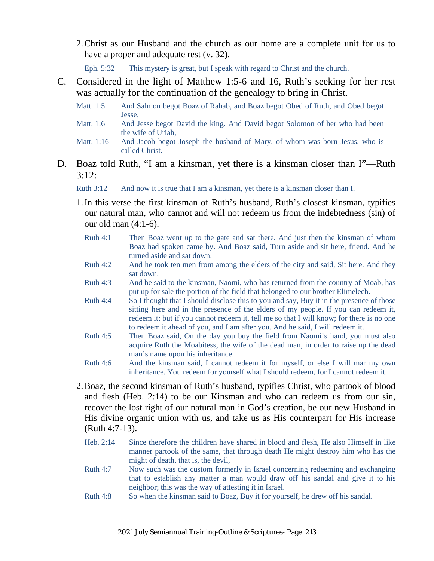2.Christ as our Husband and the church as our home are a complete unit for us to have a proper and adequate rest (v. 32).

Eph. 5:32 This mystery is great, but I speak with regard to Christ and the church.

- C. Considered in the light of Matthew 1:5-6 and 16, Ruth's seeking for her rest was actually for the continuation of the genealogy to bring in Christ.
	- Matt. 1:5 And Salmon begot Boaz of Rahab, and Boaz begot Obed of Ruth, and Obed begot Jesse,
	- Matt. 1:6 And Jesse begot David the king. And David begot Solomon of her who had been the wife of Uriah,
	- Matt. 1:16 And Jacob begot Joseph the husband of Mary, of whom was born Jesus, who is called Christ.
- D. Boaz told Ruth, "I am a kinsman, yet there is a kinsman closer than I"—Ruth 3:12:

Ruth 3:12 And now it is true that I am a kinsman, yet there is a kinsman closer than I.

- 1.In this verse the first kinsman of Ruth's husband, Ruth's closest kinsman, typifies our natural man, who cannot and will not redeem us from the indebtedness (sin) of our old man (4:1-6).
	- Ruth 4:1 Then Boaz went up to the gate and sat there. And just then the kinsman of whom Boaz had spoken came by. And Boaz said, Turn aside and sit here, friend. And he turned aside and sat down.
	- Ruth 4:2 And he took ten men from among the elders of the city and said, Sit here. And they sat down.
	- Ruth 4:3 And he said to the kinsman, Naomi, who has returned from the country of Moab, has put up for sale the portion of the field that belonged to our brother Elimelech.
	- Ruth 4:4 So I thought that I should disclose this to you and say, Buy it in the presence of those sitting here and in the presence of the elders of my people. If you can redeem it, redeem it; but if you cannot redeem it, tell me so that I will know; for there is no one to redeem it ahead of you, and I am after you. And he said, I will redeem it.
	- Ruth 4:5 Then Boaz said, On the day you buy the field from Naomi's hand, you must also acquire Ruth the Moabitess, the wife of the dead man, in order to raise up the dead man's name upon his inheritance.
	- Ruth 4:6 And the kinsman said, I cannot redeem it for myself, or else I will mar my own inheritance. You redeem for yourself what I should redeem, for I cannot redeem it.
- 2.Boaz, the second kinsman of Ruth's husband, typifies Christ, who partook of blood and flesh (Heb. 2:14) to be our Kinsman and who can redeem us from our sin, recover the lost right of our natural man in God's creation, be our new Husband in His divine organic union with us, and take us as His counterpart for His increase (Ruth 4:7-13).
	- Heb. 2:14 Since therefore the children have shared in blood and flesh, He also Himself in like manner partook of the same, that through death He might destroy him who has the might of death, that is, the devil,
	- Ruth 4:7 Now such was the custom formerly in Israel concerning redeeming and exchanging that to establish any matter a man would draw off his sandal and give it to his neighbor; this was the way of attesting it in Israel.
	- Ruth 4:8 So when the kinsman said to Boaz, Buy it for yourself, he drew off his sandal.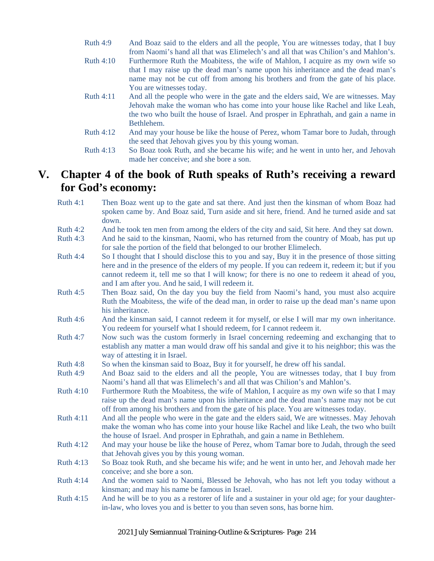- Ruth 4:9 And Boaz said to the elders and all the people, You are witnesses today, that I buy from Naomi's hand all that was Elimelech's and all that was Chilion's and Mahlon's.
- Ruth 4:10 Furthermore Ruth the Moabitess, the wife of Mahlon, I acquire as my own wife so that I may raise up the dead man's name upon his inheritance and the dead man's name may not be cut off from among his brothers and from the gate of his place. You are witnesses today.
- Ruth 4:11 And all the people who were in the gate and the elders said, We are witnesses. May Jehovah make the woman who has come into your house like Rachel and like Leah, the two who built the house of Israel. And prosper in Ephrathah, and gain a name in Bethlehem.
- Ruth 4:12 And may your house be like the house of Perez, whom Tamar bore to Judah, through the seed that Jehovah gives you by this young woman.
- Ruth 4:13 So Boaz took Ruth, and she became his wife; and he went in unto her, and Jehovah made her conceive; and she bore a son.

### **V. Chapter 4 of the book of Ruth speaks of Ruth's receiving a reward for God's economy:**

- Ruth 4:1 Then Boaz went up to the gate and sat there. And just then the kinsman of whom Boaz had spoken came by. And Boaz said, Turn aside and sit here, friend. And he turned aside and sat down.
- Ruth 4:2 And he took ten men from among the elders of the city and said, Sit here. And they sat down.
- Ruth 4:3 And he said to the kinsman, Naomi, who has returned from the country of Moab, has put up for sale the portion of the field that belonged to our brother Elimelech.
- Ruth 4:4 So I thought that I should disclose this to you and say, Buy it in the presence of those sitting here and in the presence of the elders of my people. If you can redeem it, redeem it; but if you cannot redeem it, tell me so that I will know; for there is no one to redeem it ahead of you, and I am after you. And he said, I will redeem it.
- Ruth 4:5 Then Boaz said, On the day you buy the field from Naomi's hand, you must also acquire Ruth the Moabitess, the wife of the dead man, in order to raise up the dead man's name upon his inheritance.
- Ruth 4:6 And the kinsman said, I cannot redeem it for myself, or else I will mar my own inheritance. You redeem for yourself what I should redeem, for I cannot redeem it.
- Ruth 4:7 Now such was the custom formerly in Israel concerning redeeming and exchanging that to establish any matter a man would draw off his sandal and give it to his neighbor; this was the way of attesting it in Israel.
- Ruth 4:8 So when the kinsman said to Boaz, Buy it for yourself, he drew off his sandal.
- Ruth 4:9 And Boaz said to the elders and all the people, You are witnesses today, that I buy from Naomi's hand all that was Elimelech's and all that was Chilion's and Mahlon's.
- Ruth 4:10 Furthermore Ruth the Moabitess, the wife of Mahlon, I acquire as my own wife so that I may raise up the dead man's name upon his inheritance and the dead man's name may not be cut off from among his brothers and from the gate of his place. You are witnesses today.
- Ruth 4:11 And all the people who were in the gate and the elders said, We are witnesses. May Jehovah make the woman who has come into your house like Rachel and like Leah, the two who built the house of Israel. And prosper in Ephrathah, and gain a name in Bethlehem.
- Ruth 4:12 And may your house be like the house of Perez, whom Tamar bore to Judah, through the seed that Jehovah gives you by this young woman.
- Ruth 4:13 So Boaz took Ruth, and she became his wife; and he went in unto her, and Jehovah made her conceive; and she bore a son.
- Ruth 4:14 And the women said to Naomi, Blessed be Jehovah, who has not left you today without a kinsman; and may his name be famous in Israel.
- Ruth 4:15 And he will be to you as a restorer of life and a sustainer in your old age; for your daughterin-law, who loves you and is better to you than seven sons, has borne him.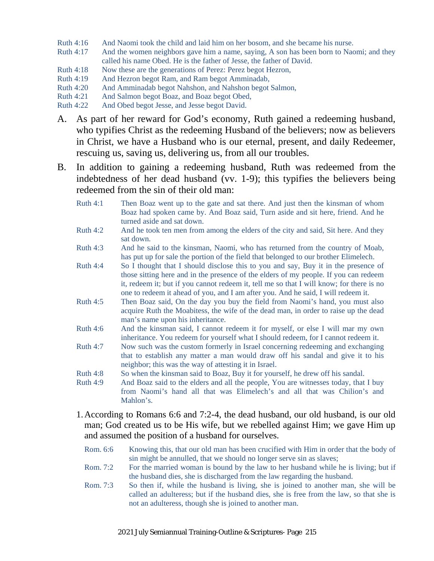- Ruth 4:16 And Naomi took the child and laid him on her bosom, and she became his nurse.
- Ruth 4:17 And the women neighbors gave him a name, saying, A son has been born to Naomi; and they called his name Obed. He is the father of Jesse, the father of David.
- Ruth 4:18 Now these are the generations of Perez: Perez begot Hezron,
- Ruth 4:19 And Hezron begot Ram, and Ram begot Amminadab,
- Ruth 4:20 And Amminadab begot Nahshon, and Nahshon begot Salmon,
- Ruth 4:21 And Salmon begot Boaz, and Boaz begot Obed,
- Ruth 4:22 And Obed begot Jesse, and Jesse begot David.
- A. As part of her reward for God's economy, Ruth gained a redeeming husband, who typifies Christ as the redeeming Husband of the believers; now as believers in Christ, we have a Husband who is our eternal, present, and daily Redeemer, rescuing us, saving us, delivering us, from all our troubles.
- B. In addition to gaining a redeeming husband, Ruth was redeemed from the indebtedness of her dead husband (vv. 1-9); this typifies the believers being redeemed from the sin of their old man:
	- Ruth 4:1 Then Boaz went up to the gate and sat there. And just then the kinsman of whom Boaz had spoken came by. And Boaz said, Turn aside and sit here, friend. And he turned aside and sat down.
	- Ruth 4:2 And he took ten men from among the elders of the city and said, Sit here. And they sat down.
	- Ruth 4:3 And he said to the kinsman, Naomi, who has returned from the country of Moab, has put up for sale the portion of the field that belonged to our brother Elimelech.
	- Ruth 4:4 So I thought that I should disclose this to you and say, Buy it in the presence of those sitting here and in the presence of the elders of my people. If you can redeem it, redeem it; but if you cannot redeem it, tell me so that I will know; for there is no one to redeem it ahead of you, and I am after you. And he said, I will redeem it.
	- Ruth 4:5 Then Boaz said, On the day you buy the field from Naomi's hand, you must also acquire Ruth the Moabitess, the wife of the dead man, in order to raise up the dead man's name upon his inheritance.
	- Ruth 4:6 And the kinsman said, I cannot redeem it for myself, or else I will mar my own inheritance. You redeem for yourself what I should redeem, for I cannot redeem it.
	- Ruth 4:7 Now such was the custom formerly in Israel concerning redeeming and exchanging that to establish any matter a man would draw off his sandal and give it to his neighbor; this was the way of attesting it in Israel.
	- Ruth 4:8 So when the kinsman said to Boaz, Buy it for yourself, he drew off his sandal.
	- Ruth 4:9 And Boaz said to the elders and all the people, You are witnesses today, that I buy from Naomi's hand all that was Elimelech's and all that was Chilion's and Mahlon's
	- 1.According to Romans 6:6 and 7:2-4, the dead husband, our old husband, is our old man; God created us to be His wife, but we rebelled against Him; we gave Him up and assumed the position of a husband for ourselves.
		- Rom. 6:6 Knowing this, that our old man has been crucified with Him in order that the body of sin might be annulled, that we should no longer serve sin as slaves;
		- Rom. 7:2 For the married woman is bound by the law to her husband while he is living; but if the husband dies, she is discharged from the law regarding the husband.
		- Rom. 7:3 So then if, while the husband is living, she is joined to another man, she will be called an adulteress; but if the husband dies, she is free from the law, so that she is not an adulteress, though she is joined to another man.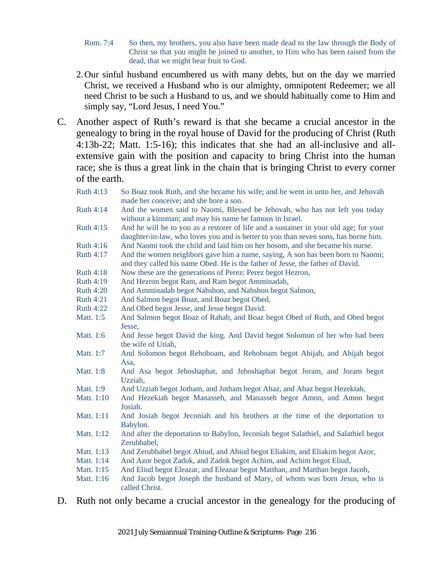- Rom. 7:4 So then, my brothers, you also have been made dead to the law through the Body of Christ so that you might be joined to another, to Him who has been raised from the dead, that we might bear fruit to God.
- 2.Our sinful husband encumbered us with many debts, but on the day we married Christ, we received a Husband who is our almighty, omnipotent Redeemer; we all need Christ to be such a Husband to us, and we should habitually come to Him and simply say, "Lord Jesus, I need You."
- C. Another aspect of Ruth's reward is that she became a crucial ancestor in the genealogy to bring in the royal house of David for the producing of Christ (Ruth 4:13b-22; Matt. 1:5-16); this indicates that she had an all-inclusive and allextensive gain with the position and capacity to bring Christ into the human race; she is thus a great link in the chain that is bringing Christ to every corner of the earth.
	- Ruth 4:13 So Boaz took Ruth, and she became his wife; and he went in unto her, and Jehovah made her conceive; and she bore a son.
	- Ruth 4:14 And the women said to Naomi, Blessed be Jehovah, who has not left you today without a kinsman; and may his name be famous in Israel.
	- Ruth 4:15 And he will be to you as a restorer of life and a sustainer in your old age; for your daughter-in-law, who loves you and is better to you than seven sons, has borne him.
	- Ruth 4:16 And Naomi took the child and laid him on her bosom, and she became his nurse.
	- Ruth 4:17 And the women neighbors gave him a name, saying, A son has been born to Naomi; and they called his name Obed. He is the father of Jesse, the father of David.
	- Ruth 4:18 Now these are the generations of Perez: Perez begot Hezron,
	- Ruth 4:19 And Hezron begot Ram, and Ram begot Amminadab,
	- Ruth 4:20 And Amminadab begot Nahshon, and Nahshon begot Salmon,
	- Ruth 4:21 And Salmon begot Boaz, and Boaz begot Obed,
	- Ruth 4:22 And Obed begot Jesse, and Jesse begot David.
	- Matt. 1:5 And Salmon begot Boaz of Rahab, and Boaz begot Obed of Ruth, and Obed begot Jesse,
	- Matt. 1:6 And Jesse begot David the king. And David begot Solomon of her who had been the wife of Uriah,
	- Matt. 1:7 And Solomon begot Rehoboam, and Rehoboam begot Abijah, and Abijah begot Asa,
	- Matt. 1:8 And Asa begot Jehoshaphat, and Jehoshaphat begot Joram, and Joram begot Uzziah,
	- Matt. 1:9 And Uzziah begot Jotham, and Jotham begot Ahaz, and Ahaz begot Hezekiah,
	- Matt. 1:10 And Hezekiah begot Manasseh, and Manasseh begot Amon, and Amon begot Josiah.
	- Matt. 1:11 And Josiah begot Jeconiah and his brothers at the time of the deportation to Babylon.
	- Matt. 1:12 And after the deportation to Babylon, Jeconiah begot Salathiel, and Salathiel begot Zerubbabel,
	- Matt. 1:13 And Zerubbabel begot Abiud, and Abiud begot Eliakim, and Eliakim begot Azor,
	- Matt. 1:14 And Azor begot Zadok, and Zadok begot Achim, and Achim begot Eliud,
	- Matt. 1:15 And Eliud begot Eleazar, and Eleazar begot Matthan, and Matthan begot Jacob,

Matt. 1:16 And Jacob begot Joseph the husband of Mary, of whom was born Jesus, who is called Christ.

D. Ruth not only became a crucial ancestor in the genealogy for the producing of